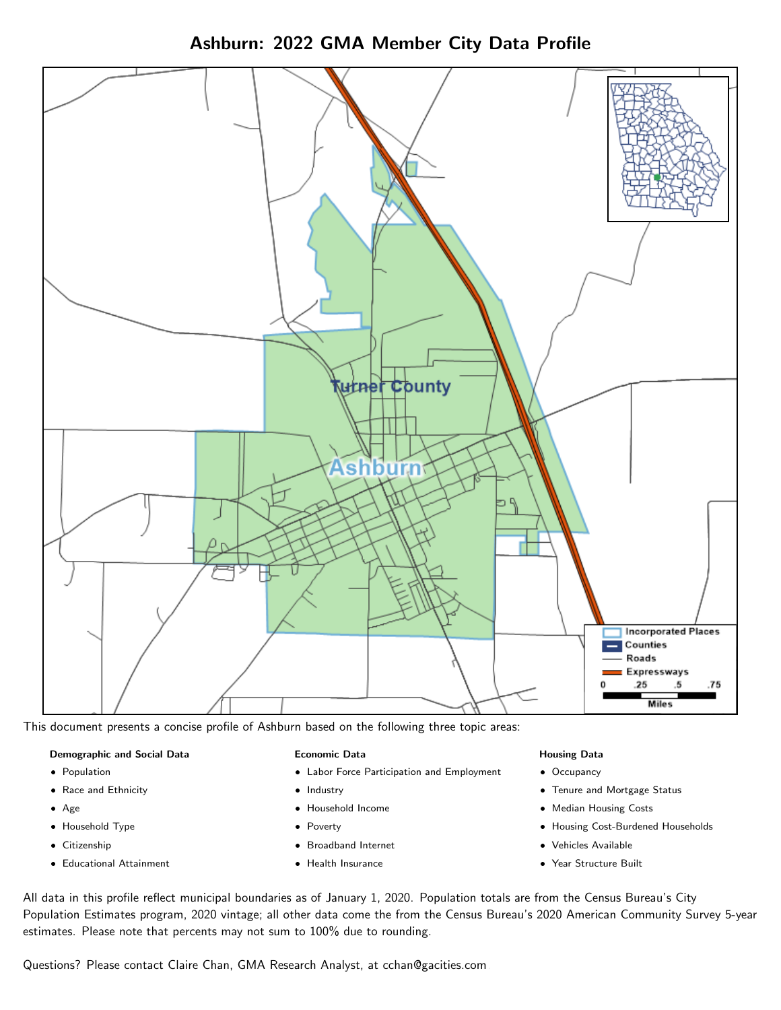



This document presents a concise profile of Ashburn based on the following three topic areas:

### Demographic and Social Data

- **•** Population
- Race and Ethnicity
- Age
- Household Type
- **Citizenship**
- Educational Attainment

#### Economic Data

- Labor Force Participation and Employment
- Industry
- Household Income
- Poverty
- Broadband Internet
- Health Insurance

#### Housing Data

- Occupancy
- Tenure and Mortgage Status
- Median Housing Costs
- Housing Cost-Burdened Households
- Vehicles Available
- Year Structure Built

All data in this profile reflect municipal boundaries as of January 1, 2020. Population totals are from the Census Bureau's City Population Estimates program, 2020 vintage; all other data come the from the Census Bureau's 2020 American Community Survey 5-year estimates. Please note that percents may not sum to 100% due to rounding.

Questions? Please contact Claire Chan, GMA Research Analyst, at [cchan@gacities.com.](mailto:cchan@gacities.com)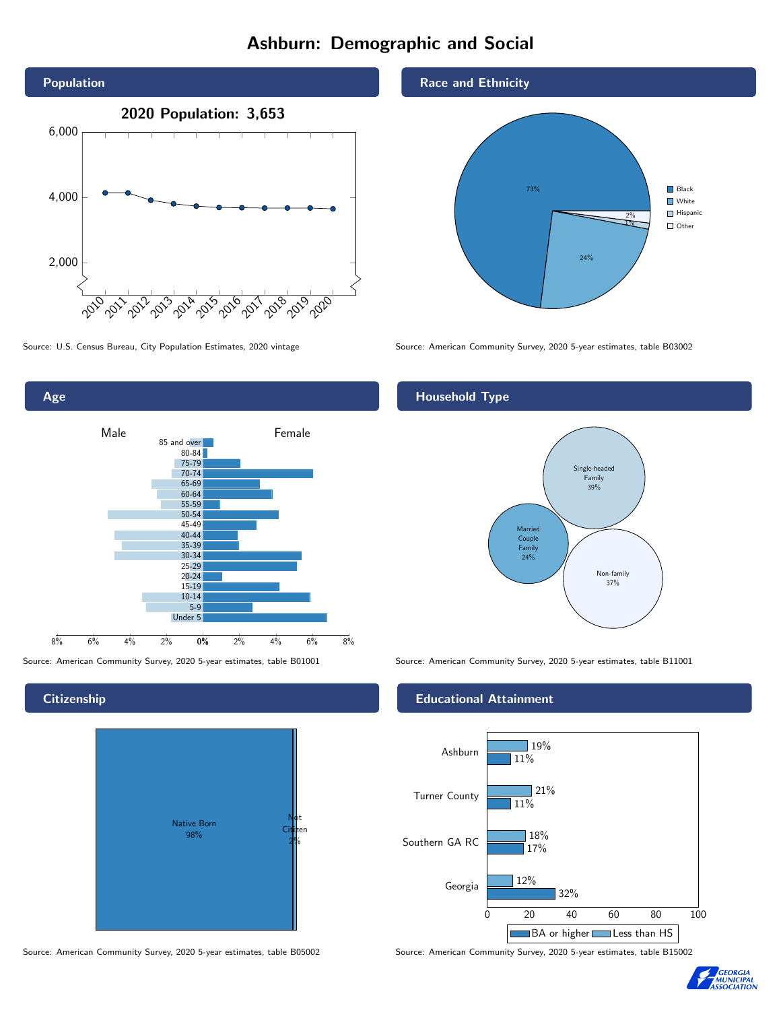# Ashburn: Demographic and Social





**Citizenship** 



Source: American Community Survey, 2020 5-year estimates, table B05002 Source: American Community Survey, 2020 5-year estimates, table B15002





Source: U.S. Census Bureau, City Population Estimates, 2020 vintage Source: American Community Survey, 2020 5-year estimates, table B03002

# Household Type



Source: American Community Survey, 2020 5-year estimates, table B01001 Source: American Community Survey, 2020 5-year estimates, table B11001

#### Educational Attainment



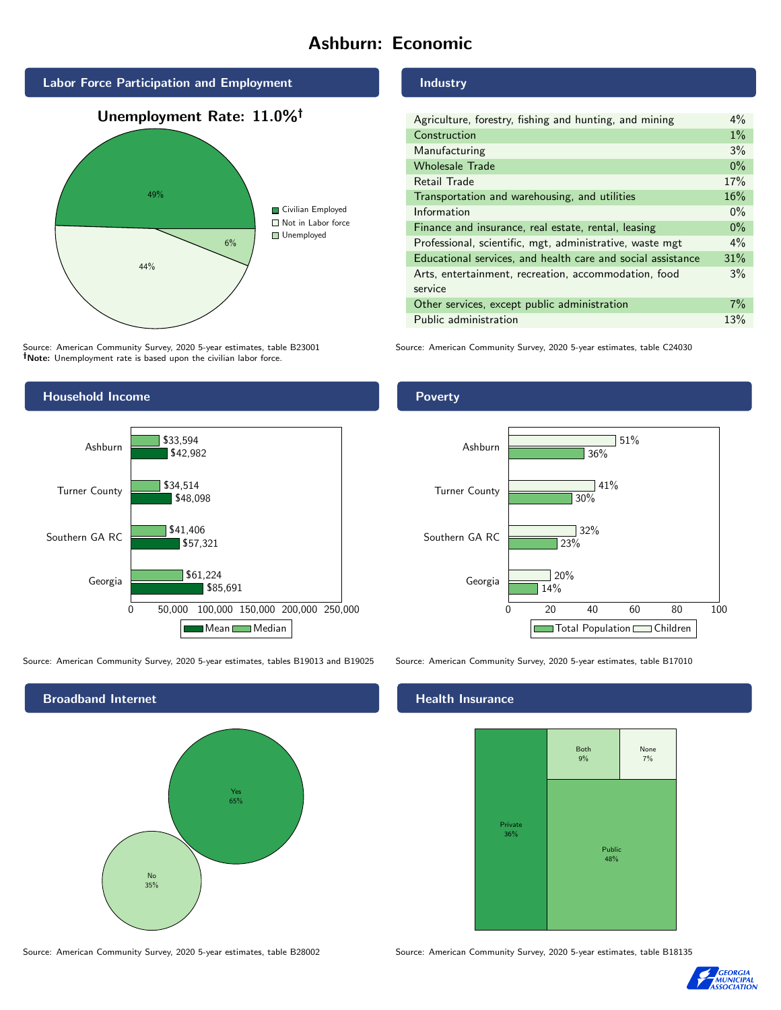# Ashburn: Economic



Source: American Community Survey, 2020 5-year estimates, table B23001 Note: Unemployment rate is based upon the civilian labor force.

## Industry

| Agriculture, forestry, fishing and hunting, and mining      | $4\%$ |
|-------------------------------------------------------------|-------|
| Construction                                                | $1\%$ |
| Manufacturing                                               | 3%    |
| <b>Wholesale Trade</b>                                      | $0\%$ |
| Retail Trade                                                | 17%   |
| Transportation and warehousing, and utilities               | 16%   |
| Information                                                 | $0\%$ |
| Finance and insurance, real estate, rental, leasing         | $0\%$ |
| Professional, scientific, mgt, administrative, waste mgt    | $4\%$ |
| Educational services, and health care and social assistance | 31%   |
| Arts, entertainment, recreation, accommodation, food        | 3%    |
| service                                                     |       |
| Other services, except public administration                | $7\%$ |
| Public administration                                       | 13%   |

Source: American Community Survey, 2020 5-year estimates, table C24030



Source: American Community Survey, 2020 5-year estimates, tables B19013 and B19025 Source: American Community Survey, 2020 5-year estimates, table B17010



#### Poverty



# **Health Insurance**



Source: American Community Survey, 2020 5-year estimates, table B28002 Source: American Community Survey, 2020 5-year estimates, table B18135